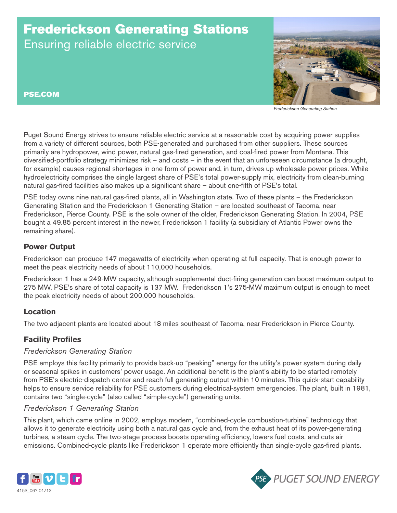# Frederickson Generating Stations Ensuring reliable electric service



*Frederickson Generating Station*

PSE.COM

Puget Sound Energy strives to ensure reliable electric service at a reasonable cost by acquiring power supplies from a variety of different sources, both PSE-generated and purchased from other suppliers. These sources primarily are hydropower, wind power, natural gas-fired generation, and coal-fired power from Montana. This diversified-portfolio strategy minimizes risk – and costs – in the event that an unforeseen circumstance (a drought, for example) causes regional shortages in one form of power and, in turn, drives up wholesale power prices. While hydroelectricity comprises the single largest share of PSE's total power-supply mix, electricity from clean-burning natural gas-fired facilities also makes up a significant share – about one-fifth of PSE's total.

PSE today owns nine natural gas-fired plants, all in Washington state. Two of these plants – the Frederickson Generating Station and the Frederickson 1 Generating Station – are located southeast of Tacoma, near Frederickson, Pierce County. PSE is the sole owner of the older, Frederickson Generating Station. In 2004, PSE bought a 49.85 percent interest in the newer, Frederickson 1 facility (a subsidiary of Atlantic Power owns the remaining share).

### **Power Output**

Frederickson can produce 147 megawatts of electricity when operating at full capacity. That is enough power to meet the peak electricity needs of about 110,000 households.

Frederickson 1 has a 249-MW capacity, although supplemental duct-firing generation can boost maximum output to 275 MW. PSE's share of total capacity is 137 MW. Frederickson 1's 275-MW maximum output is enough to meet the peak electricity needs of about 200,000 households.

# **Location**

The two adjacent plants are located about 18 miles southeast of Tacoma, near Frederickson in Pierce County.

# **Facility Profiles**

#### *Frederickson Generating Station*

PSE employs this facility primarily to provide back-up "peaking" energy for the utility's power system during daily or seasonal spikes in customers' power usage. An additional benefit is the plant's ability to be started remotely from PSE's electric-dispatch center and reach full generating output within 10 minutes. This quick-start capability helps to ensure service reliability for PSE customers during electrical-system emergencies. The plant, built in 1981, contains two "single-cycle" (also called "simple-cycle") generating units.

#### *Frederickson 1 Generating Station*

This plant, which came online in 2002, employs modern, "combined-cycle combustion-turbine" technology that allows it to generate electricity using both a natural gas cycle and, from the exhaust heat of its power-generating turbines, a steam cycle. The two-stage process boosts operating efficiency, lowers fuel costs, and cuts air emissions. Combined-cycle plants like Frederickson 1 operate more efficiently than single-cycle gas-fired plants.